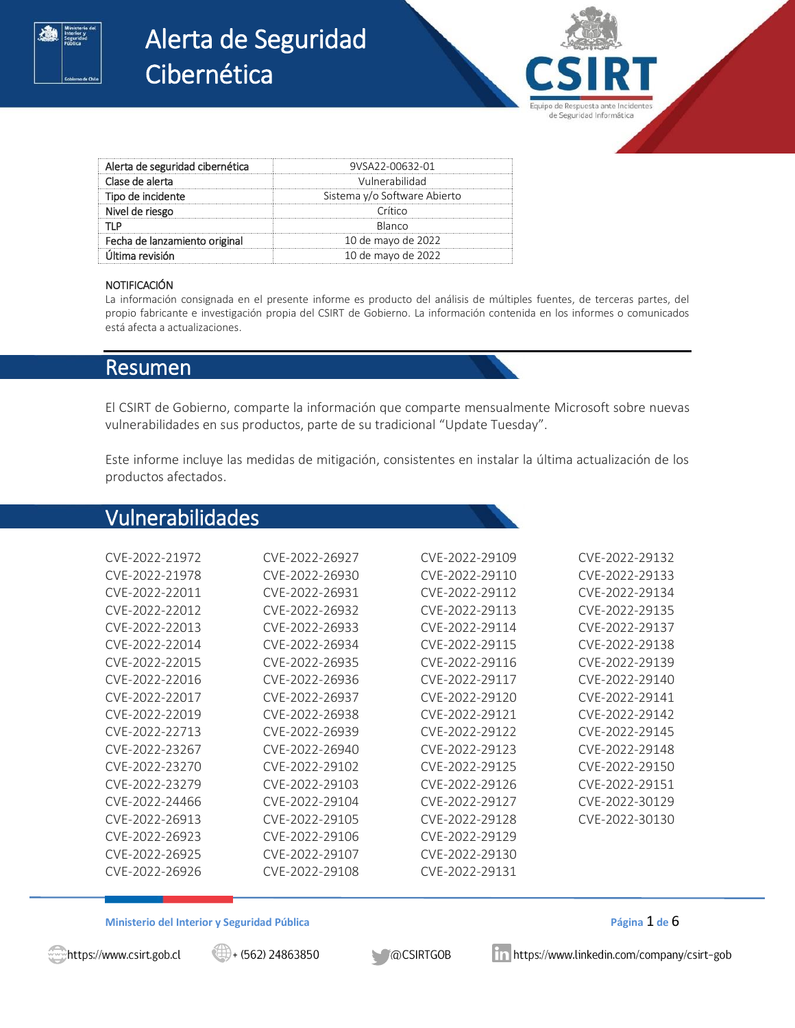

# Alerta de Seguridad Cibernética

| Alerta de seguridad cibernética | 9VSA22-00632-01              |  |
|---------------------------------|------------------------------|--|
| Clase de alerta                 | Vulnerabilidad               |  |
| Tipo de incidente               | Sistema y/o Software Abierto |  |
| Nivel de riesgo                 | Crítico                      |  |
|                                 | Blanco                       |  |
| Fecha de lanzamiento original   | 10 de mayo de 2022           |  |
| Última revisión                 | 10 de mayo de 2022           |  |

#### **NOTIFICACIÓN**

La información consignada en el presente informe es producto del análisis de múltiples fuentes, de terceras partes, del propio fabricante e investigación propia del CSIRT de Gobierno. La información contenida en los informes o comunicados está afecta a actualizaciones.

## Resumen

El CSIRT de Gobierno, comparte la información que comparte mensualmente Microsoft sobre nuevas vulnerabilidades en sus productos, parte de su tradicional "Update Tuesday".

Este informe incluye las medidas de mitigación, consistentes en instalar la última actualización de los productos afectados.

# Vulnerabilidades

| CVF-2022-21972 | CVF-2022-26927 | CVF-2022-29109 | CVE-2022-29132 |
|----------------|----------------|----------------|----------------|
| CVF-2022-21978 | CVF-2022-26930 | CVF-2022-29110 | CVF-2022-29133 |
| CVF-2022-22011 | CVF-2022-26931 | CVF-2022-29112 | CVF-2022-29134 |
| CVF-2022-22012 | CVF-2022-26932 | CVF-2022-29113 | CVF-2022-29135 |
| CVF-2022-22013 | CVF-2022-26933 | CVF-2022-29114 | CVF-2022-29137 |
| CVF-2022-22014 | CVF-2022-26934 | CVF-2022-29115 | CVF-2022-29138 |
| CVF-2022-22015 | CVF-2022-26935 | CVF-2022-29116 | CVF-2022-29139 |
| CVF-2022-22016 | CVF-2022-26936 | CVF-2022-29117 | CVF-2022-29140 |
| CVF-2022-22017 | CVF-2022-26937 | CVF-2022-29120 | CVF-2022-29141 |
| CVF-2022-22019 | CVE-2022-26938 | CVF-2022-29121 | CVF-2022-29142 |
| CVF-2022-22713 | CVF-2022-26939 | CVE-2022-29122 | CVF-2022-29145 |
| CVF-2022-23267 | CVF-2022-26940 | CVF-2022-29123 | CVF-2022-29148 |
| CVF-2022-23270 | CVF-2022-29102 | CVF-2022-29125 | CVF-2022-29150 |
| CVF-2022-23279 | CVF-2022-29103 | CVE-2022-29126 | CVF-2022-29151 |
| CVF-2022-24466 | CVE-2022-29104 | CVE-2022-29127 | CVE-2022-30129 |
| CVF-2022-26913 | CVF-2022-29105 | CVF-2022-29128 | CVE-2022-30130 |
| CVF-2022-26923 | CVF-2022-29106 | CVF-2022-29129 |                |
| CVF-2022-26925 | CVF-2022-29107 | CVF-2022-29130 |                |
| CVF-2022-26926 | CVF-2022-29108 | CVF-2022-29131 |                |
|                |                |                |                |

#### **Ministerio del Interior y Seguridad Pública Página** 1 **de** 6

https://www.csirt.gob.cl

 $\implies$  (562) 24863850

**MOCSIRTGOB** 

in https://www.linkedin.com/company/csirt-gob

de Seguridad Informática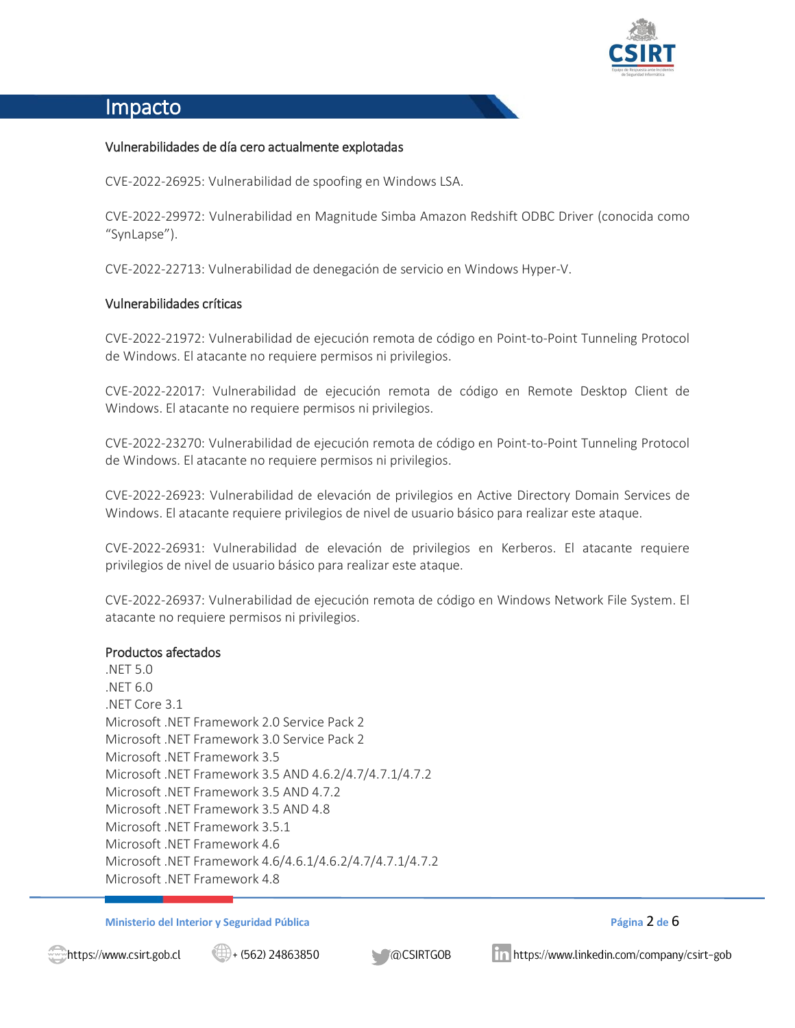

# Impacto

### Vulnerabilidades de día cero actualmente explotadas

CVE-2022-26925: Vulnerabilidad de spoofing en Windows LSA.

CVE-2022-29972: Vulnerabilidad en Magnitude Simba Amazon Redshift ODBC Driver (conocida como "SynLapse").

CVE-2022-22713: Vulnerabilidad de denegación de servicio en Windows Hyper-V.

#### Vulnerabilidades críticas

CVE-2022-21972: Vulnerabilidad de ejecución remota de código en Point-to-Point Tunneling Protocol de Windows. El atacante no requiere permisos ni privilegios.

CVE-2022-22017: Vulnerabilidad de ejecución remota de código en Remote Desktop Client de Windows. El atacante no requiere permisos ni privilegios.

CVE-2022-23270: Vulnerabilidad de ejecución remota de código en Point-to-Point Tunneling Protocol de Windows. El atacante no requiere permisos ni privilegios.

CVE-2022-26923: Vulnerabilidad de elevación de privilegios en Active Directory Domain Services de Windows. El atacante requiere privilegios de nivel de usuario básico para realizar este ataque.

CVE-2022-26931: Vulnerabilidad de elevación de privilegios en Kerberos. El atacante requiere privilegios de nivel de usuario básico para realizar este ataque.

CVE-2022-26937: Vulnerabilidad de ejecución remota de código en Windows Network File System. El atacante no requiere permisos ni privilegios.

#### Productos afectados

.NET 5.0 .NET 6.0 .NET Core 3.1 Microsoft .NET Framework 2.0 Service Pack 2 Microsoft .NET Framework 3.0 Service Pack 2 Microsoft .NET Framework 3.5 Microsoft .NET Framework 3.5 AND 4.6.2/4.7/4.7.1/4.7.2 Microsoft .NET Framework 3.5 AND 4.7.2 Microsoft .NET Framework 3.5 AND 4.8 Microsoft .NET Framework 3.5.1 Microsoft .NET Framework 4.6 Microsoft .NET Framework 4.6/4.6.1/4.6.2/4.7/4.7.1/4.7.2 Microsoft .NET Framework 4.8

#### **Ministerio del Interior y Seguridad Pública Página** 2 **de** 6

https://www.csirt.gob.cl

 $\bigoplus$  + (562) 24863850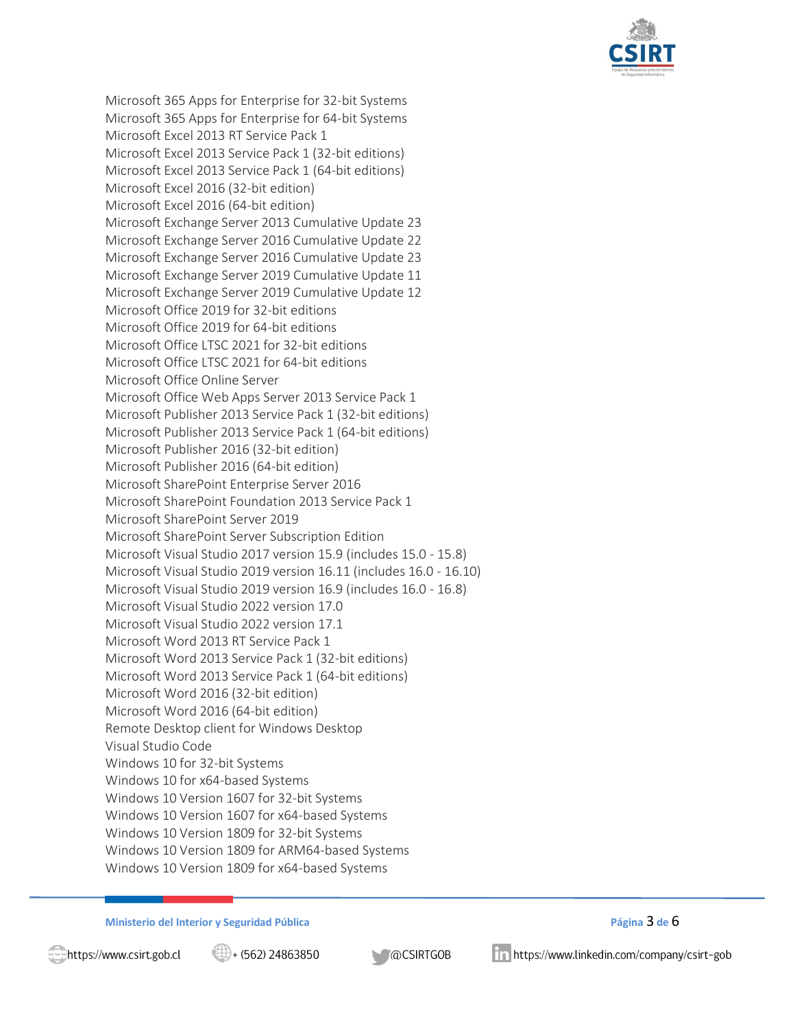

Microsoft 365 Apps for Enterprise for 32-bit Systems Microsoft 365 Apps for Enterprise for 64-bit Systems Microsoft Excel 2013 RT Service Pack 1 Microsoft Excel 2013 Service Pack 1 (32-bit editions) Microsoft Excel 2013 Service Pack 1 (64-bit editions) Microsoft Excel 2016 (32-bit edition) Microsoft Excel 2016 (64-bit edition) Microsoft Exchange Server 2013 Cumulative Update 23 Microsoft Exchange Server 2016 Cumulative Update 22 Microsoft Exchange Server 2016 Cumulative Update 23 Microsoft Exchange Server 2019 Cumulative Update 11 Microsoft Exchange Server 2019 Cumulative Update 12 Microsoft Office 2019 for 32-bit editions Microsoft Office 2019 for 64-bit editions Microsoft Office LTSC 2021 for 32-bit editions Microsoft Office LTSC 2021 for 64-bit editions Microsoft Office Online Server Microsoft Office Web Apps Server 2013 Service Pack 1 Microsoft Publisher 2013 Service Pack 1 (32-bit editions) Microsoft Publisher 2013 Service Pack 1 (64-bit editions) Microsoft Publisher 2016 (32-bit edition) Microsoft Publisher 2016 (64-bit edition) Microsoft SharePoint Enterprise Server 2016 Microsoft SharePoint Foundation 2013 Service Pack 1 Microsoft SharePoint Server 2019 Microsoft SharePoint Server Subscription Edition Microsoft Visual Studio 2017 version 15.9 (includes 15.0 - 15.8) Microsoft Visual Studio 2019 version 16.11 (includes 16.0 - 16.10) Microsoft Visual Studio 2019 version 16.9 (includes 16.0 - 16.8) Microsoft Visual Studio 2022 version 17.0 Microsoft Visual Studio 2022 version 17.1 Microsoft Word 2013 RT Service Pack 1 Microsoft Word 2013 Service Pack 1 (32-bit editions) Microsoft Word 2013 Service Pack 1 (64-bit editions) Microsoft Word 2016 (32-bit edition) Microsoft Word 2016 (64-bit edition) Remote Desktop client for Windows Desktop Visual Studio Code Windows 10 for 32-bit Systems Windows 10 for x64-based Systems Windows 10 Version 1607 for 32-bit Systems Windows 10 Version 1607 for x64-based Systems Windows 10 Version 1809 for 32-bit Systems Windows 10 Version 1809 for ARM64-based Systems Windows 10 Version 1809 for x64-based Systems

**Ministerio del Interior y Seguridad Pública Página** 3 **de** 6

**MOCSIRTGOB**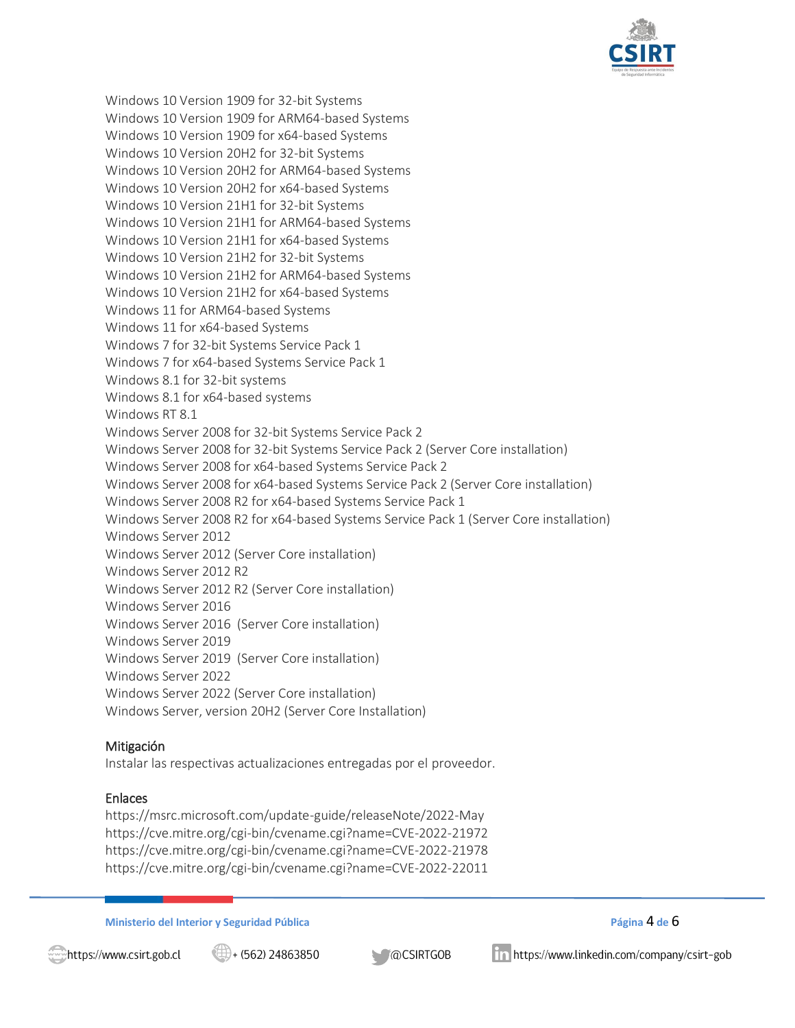

Windows 10 Version 1909 for 32-bit Systems Windows 10 Version 1909 for ARM64-based Systems Windows 10 Version 1909 for x64-based Systems Windows 10 Version 20H2 for 32-bit Systems Windows 10 Version 20H2 for ARM64-based Systems Windows 10 Version 20H2 for x64-based Systems Windows 10 Version 21H1 for 32-bit Systems Windows 10 Version 21H1 for ARM64-based Systems Windows 10 Version 21H1 for x64-based Systems Windows 10 Version 21H2 for 32-bit Systems Windows 10 Version 21H2 for ARM64-based Systems Windows 10 Version 21H2 for x64-based Systems Windows 11 for ARM64-based Systems Windows 11 for x64-based Systems Windows 7 for 32-bit Systems Service Pack 1 Windows 7 for x64-based Systems Service Pack 1 Windows 8.1 for 32-bit systems Windows 8.1 for x64-based systems Windows RT 8.1 Windows Server 2008 for 32-bit Systems Service Pack 2 Windows Server 2008 for 32-bit Systems Service Pack 2 (Server Core installation) Windows Server 2008 for x64-based Systems Service Pack 2 Windows Server 2008 for x64-based Systems Service Pack 2 (Server Core installation) Windows Server 2008 R2 for x64-based Systems Service Pack 1 Windows Server 2008 R2 for x64-based Systems Service Pack 1 (Server Core installation) Windows Server 2012 Windows Server 2012 (Server Core installation) Windows Server 2012 R2 Windows Server 2012 R2 (Server Core installation) Windows Server 2016 Windows Server 2016 (Server Core installation) Windows Server 2019 Windows Server 2019 (Server Core installation) Windows Server 2022 Windows Server 2022 (Server Core installation) Windows Server, version 20H2 (Server Core Installation)

### Mitigación

Instalar las respectivas actualizaciones entregadas por el proveedor.

### Enlaces

https://msrc.microsoft.com/update-guide/releaseNote/2022-May https://cve.mitre.org/cgi-bin/cvename.cgi?name=CVE-2022-21972 https://cve.mitre.org/cgi-bin/cvename.cgi?name=CVE-2022-21978 https://cve.mitre.org/cgi-bin/cvename.cgi?name=CVE-2022-22011

**Ministerio del Interior y Seguridad Pública Página** 4 **de** 6



 $\bigoplus$  + (562) 24863850

**MOCSIRTGOB**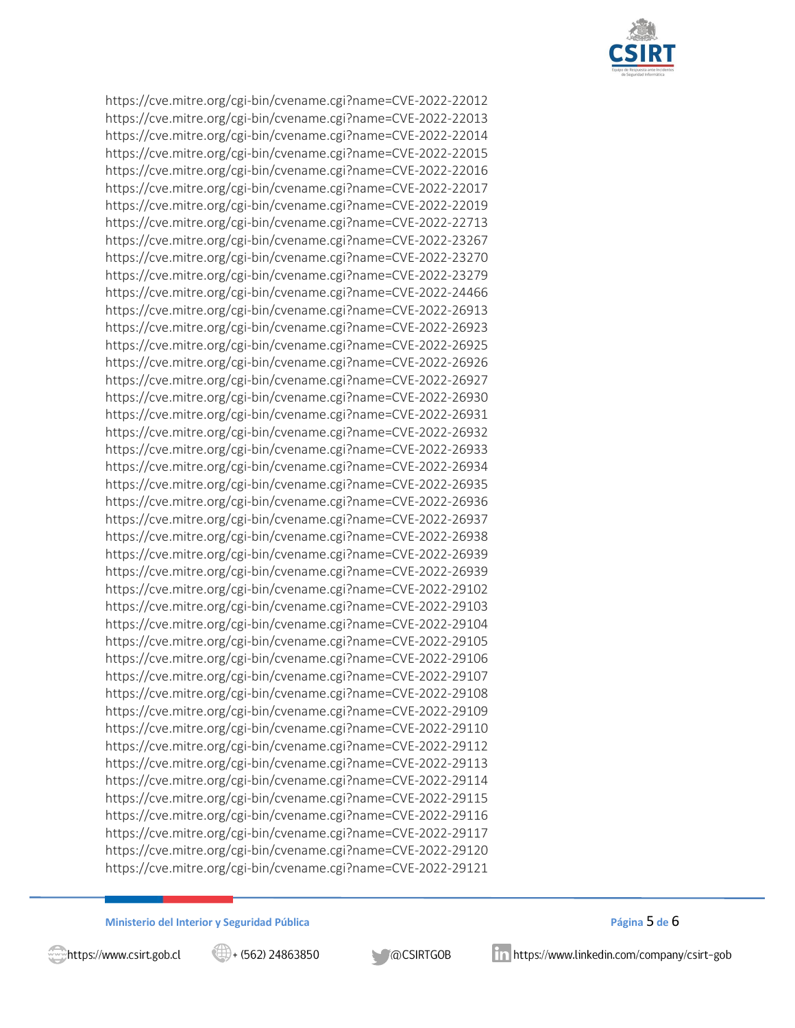

https://cve.mitre.org/cgi-bin/cvename.cgi?name=CVE-2022-22012 https://cve.mitre.org/cgi-bin/cvename.cgi?name=CVE-2022-22013 https://cve.mitre.org/cgi-bin/cvename.cgi?name=CVE-2022-22014 https://cve.mitre.org/cgi-bin/cvename.cgi?name=CVE-2022-22015 https://cve.mitre.org/cgi-bin/cvename.cgi?name=CVE-2022-22016 https://cve.mitre.org/cgi-bin/cvename.cgi?name=CVE-2022-22017 https://cve.mitre.org/cgi-bin/cvename.cgi?name=CVE-2022-22019 https://cve.mitre.org/cgi-bin/cvename.cgi?name=CVE-2022-22713 https://cve.mitre.org/cgi-bin/cvename.cgi?name=CVE-2022-23267 https://cve.mitre.org/cgi-bin/cvename.cgi?name=CVE-2022-23270 https://cve.mitre.org/cgi-bin/cvename.cgi?name=CVE-2022-23279 https://cve.mitre.org/cgi-bin/cvename.cgi?name=CVE-2022-24466 https://cve.mitre.org/cgi-bin/cvename.cgi?name=CVE-2022-26913 https://cve.mitre.org/cgi-bin/cvename.cgi?name=CVE-2022-26923 https://cve.mitre.org/cgi-bin/cvename.cgi?name=CVE-2022-26925 https://cve.mitre.org/cgi-bin/cvename.cgi?name=CVE-2022-26926 https://cve.mitre.org/cgi-bin/cvename.cgi?name=CVE-2022-26927 https://cve.mitre.org/cgi-bin/cvename.cgi?name=CVE-2022-26930 https://cve.mitre.org/cgi-bin/cvename.cgi?name=CVE-2022-26931 https://cve.mitre.org/cgi-bin/cvename.cgi?name=CVE-2022-26932 https://cve.mitre.org/cgi-bin/cvename.cgi?name=CVE-2022-26933 https://cve.mitre.org/cgi-bin/cvename.cgi?name=CVE-2022-26934 https://cve.mitre.org/cgi-bin/cvename.cgi?name=CVE-2022-26935 https://cve.mitre.org/cgi-bin/cvename.cgi?name=CVE-2022-26936 https://cve.mitre.org/cgi-bin/cvename.cgi?name=CVE-2022-26937 https://cve.mitre.org/cgi-bin/cvename.cgi?name=CVE-2022-26938 https://cve.mitre.org/cgi-bin/cvename.cgi?name=CVE-2022-26939 https://cve.mitre.org/cgi-bin/cvename.cgi?name=CVE-2022-26939 https://cve.mitre.org/cgi-bin/cvename.cgi?name=CVE-2022-29102 https://cve.mitre.org/cgi-bin/cvename.cgi?name=CVE-2022-29103 https://cve.mitre.org/cgi-bin/cvename.cgi?name=CVE-2022-29104 https://cve.mitre.org/cgi-bin/cvename.cgi?name=CVE-2022-29105 https://cve.mitre.org/cgi-bin/cvename.cgi?name=CVE-2022-29106 https://cve.mitre.org/cgi-bin/cvename.cgi?name=CVE-2022-29107 https://cve.mitre.org/cgi-bin/cvename.cgi?name=CVE-2022-29108 https://cve.mitre.org/cgi-bin/cvename.cgi?name=CVE-2022-29109 https://cve.mitre.org/cgi-bin/cvename.cgi?name=CVE-2022-29110 https://cve.mitre.org/cgi-bin/cvename.cgi?name=CVE-2022-29112 https://cve.mitre.org/cgi-bin/cvename.cgi?name=CVE-2022-29113 https://cve.mitre.org/cgi-bin/cvename.cgi?name=CVE-2022-29114 https://cve.mitre.org/cgi-bin/cvename.cgi?name=CVE-2022-29115 https://cve.mitre.org/cgi-bin/cvename.cgi?name=CVE-2022-29116 https://cve.mitre.org/cgi-bin/cvename.cgi?name=CVE-2022-29117 https://cve.mitre.org/cgi-bin/cvename.cgi?name=CVE-2022-29120 https://cve.mitre.org/cgi-bin/cvename.cgi?name=CVE-2022-29121

**Ministerio del Interior y Seguridad Pública Página** 5 **de** 6



 $\left(\frac{11}{21}\right)$  + (562) 24863850

**MOCSIRTGOB**